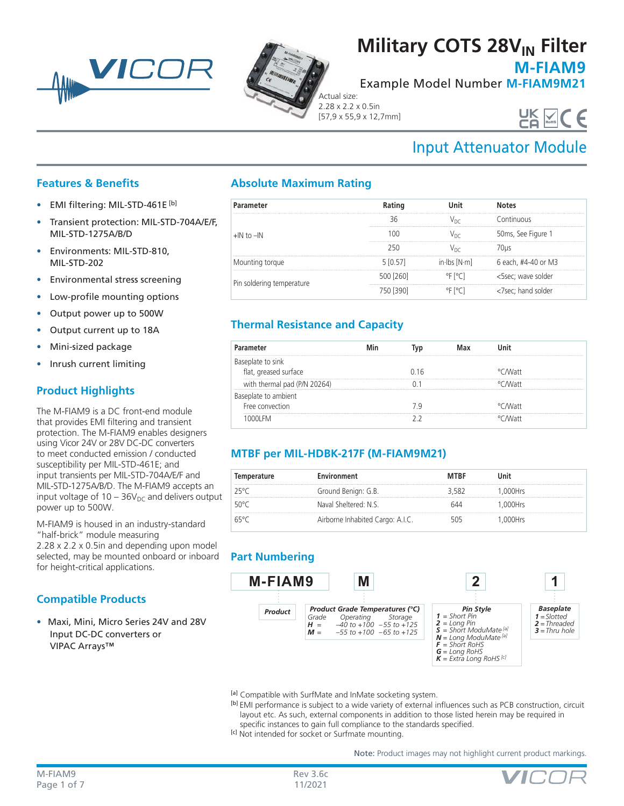



## **Military COTS 28V<sub>IN</sub> Filter**

**M-FIAM9**

Example Model Number **M-FIAM9M21**

Actual size: 2.28 x 2.2 x 0.5in [57,9 x 55,9 x 12,7mm]

# UK VCC

## Input Attenuator Module

### **Features & Benefits**

- EMI filtering: MIL-STD-461E [b]
- Transient protection: MIL-STD-704A/E/F, MIL-STD-1275A/B/D
- Environments: MIL-STD-810, MIL-STD-202
- Environmental stress screening
- Low-profile mounting options
- Output power up to 500W
- Output current up to 18A
- Mini-sized package
- Inrush current limiting

## **Product Highlights**

The M-FIAM9 is a DC front-end module that provides EMI filtering and transient protection. The M-FIAM9 enables designers using Vicor 24V or 28V DC-DC converters to meet conducted emission / conducted susceptibility per MIL-STD-461E; and input transients per MIL-STD-704A/E/F and MIL-STD-1275A/B/D. The M-FIAM9 accepts an input voltage of  $10 - 36V_{DC}$  and delivers output power up to 500W.

M-FIAM9 is housed in an industry-standard "half-brick" module measuring 2.28 x 2.2 x 0.5in and depending upon model selected, may be mounted onboard or inboard for height-critical applications.

## **Compatible Products**

• Maxi, Mini, Micro Series 24V and 28V Input DC-DC converters or VIPAC Arrays™

## **Absolute Maximum Rating**

| Parameter                 |            |                                                                                                 |
|---------------------------|------------|-------------------------------------------------------------------------------------------------|
| $H \cap H$ to $H$         |            | <b>Continuous</b>                                                                               |
|                           |            | 50ms, See Figure 1                                                                              |
|                           |            |                                                                                                 |
| Mounting torque           | 5 [0 57]   | in $\lfloor \text{bs} \rfloor \leq \lfloor \text{N} \cdot \text{m} \rfloor$ 6 each, #4-40 or M3 |
| Pin soldering temperature | 500 1260 1 | <5sec; wave solder                                                                              |
|                           |            | '7sec' hand solder                                                                              |

## **Thermal Resistance and Capacity**

| ameter                                  |      |           |  |
|-----------------------------------------|------|-----------|--|
| eplate to sink<br>tlat, greased surface | በ 16 | °C MV att |  |
| thermal pad (P/N 20264)                 |      | ∩M/att∩   |  |
| eplate to ambient                       |      |           |  |
| Free convection                         |      | ™ ∧Matt   |  |
|                                         |      | 11c/۸/    |  |

## **MTBF per MIL-HDBK-217F (M-FIAM9M21)**

| Temperature | Environment                      | <b>MTBF</b> | Jnit    |
|-------------|----------------------------------|-------------|---------|
| 25°C        | Ground Benign: G.B.              | - 582       | .000Hrs |
| 50°C        | Naval Sheltered: N.S.            |             | .000Hrs |
| 65°C        | Airborne Inhabited Cargo: A.I.C. |             | .000Hrs |

## **Part Numbering**



- [a] Compatible with SurfMate and InMate socketing system.
- [b] EMI performance is subject to a wide variety of external influences such as PCB construction, circuit layout etc. As such, external components in addition to those listed herein may be required in specific instances to gain full compliance to the standards specified.
- [c] Not intended for socket or Surfmate mounting.

Note: Product images may not highlight current product markings.

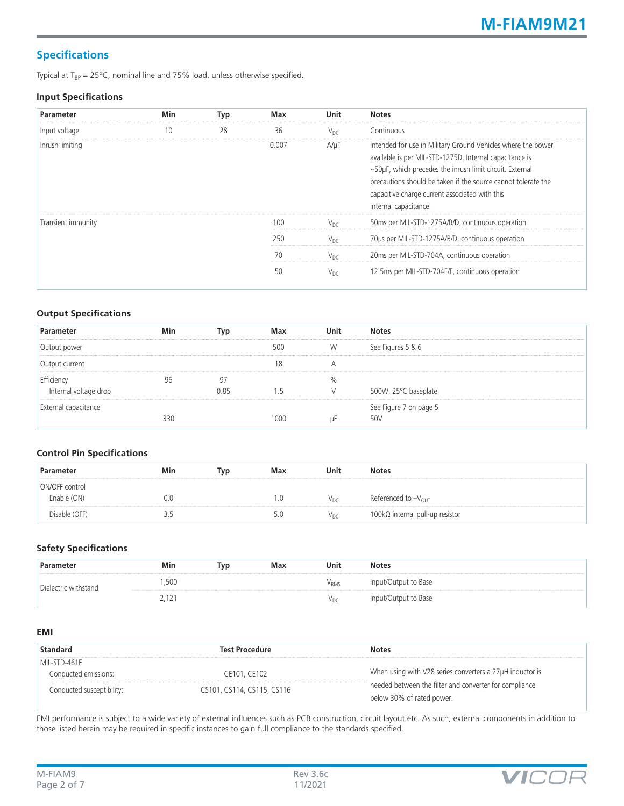## **Specifications**

Typical at  $T_{BP} = 25^{\circ}C$ , nominal line and 75% load, unless otherwise specified.

#### **Input Specifications**

| <b>Parameter</b>   | Min | Typ | Max   | Unit      | <b>Notes</b>                                                                                                                                                                                                                                                                                                                    |
|--------------------|-----|-----|-------|-----------|---------------------------------------------------------------------------------------------------------------------------------------------------------------------------------------------------------------------------------------------------------------------------------------------------------------------------------|
| Input voltage      | 10  | 28  | 36    | $V_{DC}$  | Continuous                                                                                                                                                                                                                                                                                                                      |
| Inrush limiting    |     |     | 0.007 | $A/\mu F$ | Intended for use in Military Ground Vehicles where the power<br>available is per MIL-STD-1275D. Internal capacitance is<br>~50µF, which precedes the inrush limit circuit. External<br>precautions should be taken if the source cannot tolerate the<br>capacitive charge current associated with this<br>internal capacitance. |
| Transient immunity |     |     | 100   | $V_{DC}$  | 50ms per MIL-STD-1275A/B/D, continuous operation                                                                                                                                                                                                                                                                                |
|                    |     |     | 250   | $V_{DC}$  | 70us per MIL-STD-1275A/B/D, continuous operation                                                                                                                                                                                                                                                                                |
|                    |     |     | 70    | $V_{DC}$  | 20ms per MIL-STD-704A, continuous operation                                                                                                                                                                                                                                                                                     |
|                    |     |     | 50    | $V_{DC}$  | 12.5ms per MIL-STD-704E/F, continuous operation                                                                                                                                                                                                                                                                                 |

#### **Output Specifications**

| Parameter             | Min | Typ  | Max  | Unit | <b>Notes</b>           |
|-----------------------|-----|------|------|------|------------------------|
| Output power          |     |      | 500  | W    | See Figures 5 & 6      |
| Output current        |     |      | 18   | А    |                        |
| Efficiency            |     | 97   |      | %    |                        |
| Internal voltage drop |     | 0.85 |      |      | 500W, 25°C baseplate   |
| External capacitance  |     |      |      |      | See Figure 7 on page 5 |
|                       | 330 |      | 1000 |      | 50V                    |

#### **Control Pin Specifications**

| Parameter      | Min             | Typ | Max | Unit            | <b>Notes</b>                            |
|----------------|-----------------|-----|-----|-----------------|-----------------------------------------|
| ON/OFF control |                 |     |     |                 |                                         |
| Enable (ON)    | 0.0             |     | .U  | V <sub>DC</sub> | Referenced to $-V_{\text{OUT}}$         |
| Disable (OFF)  | י י<br><u>.</u> |     | 5.U | V <sub>DC</sub> | 100 $k\Omega$ internal pull-up resistor |

#### **Safety Specifications**

| Parameter            | Min   | Tvp | Max | Unit            | <b>Notes</b>         |
|----------------------|-------|-----|-----|-----------------|----------------------|
| Dielectric withstand | ,500  |     |     | $\rm V_{RMS}$   | Input/Output to Base |
|                      | 2,121 |     |     | v <sub>DC</sub> | Input/Output to Base |

#### **EMI**

| <b>Standard</b>           | <b>Test Procedure</b>      | <b>Notes</b>                                             |
|---------------------------|----------------------------|----------------------------------------------------------|
| MIL-STD-461E              |                            |                                                          |
| Conducted emissions:      | CE101, CE102               | When using with V28 series converters a 27µH inductor is |
| Conducted susceptibility: | CS101, CS114, CS115, CS116 | needed between the filter and converter for compliance   |
|                           |                            | below 30% of rated power.                                |

EMI performance is subject to a wide variety of external influences such as PCB construction, circuit layout etc. As such, external components in addition to those listed herein may be required in specific instances to gain full compliance to the standards specified.

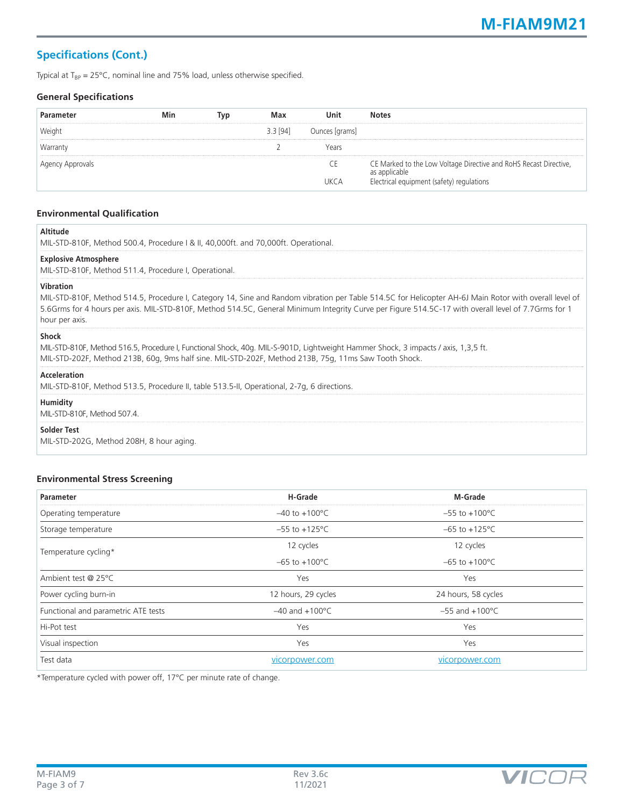## **Specifications (Cont.)**

Typical at  $T_{BP} = 25^{\circ}C$ , nominal line and 75% load, unless otherwise specified.

#### **General Specifications**

| Parameter        | Min | Tvp | Max        | Unit           | <b>Notes</b>                                                                       |
|------------------|-----|-----|------------|----------------|------------------------------------------------------------------------------------|
| Weight           |     |     | $3.3$ [94] | Ounces [grams] |                                                                                    |
| Warranty         |     |     |            | Years          |                                                                                    |
| Agency Approvals |     |     |            | <b>CE</b>      | CE Marked to the Low Voltage Directive and RoHS Recast Directive,<br>as applicable |
|                  |     |     |            | <b>IJKCA</b>   | Electrical equipment (safety) regulations                                          |

#### **Environmental Qualification**

| MIL-STD-810F, Method 500.4, Procedure I & II, 40,000ft. and 70,000ft. Operational.                                                                                                                                                                                                                                                                  |
|-----------------------------------------------------------------------------------------------------------------------------------------------------------------------------------------------------------------------------------------------------------------------------------------------------------------------------------------------------|
| <b>Explosive Atmosphere</b><br>MIL-STD-810F, Method 511.4, Procedure I, Operational.                                                                                                                                                                                                                                                                |
| <b>Vibration</b><br>MIL-STD-810F, Method 514.5, Procedure I, Category 14, Sine and Random vibration per Table 514.5C for Helicopter AH-6J Main Rotor with overall level of<br>5.6Grms for 4 hours per axis. MIL-STD-810F, Method 514.5C, General Minimum Integrity Curve per Figure 514.5C-17 with overall level of 7.7Grms for 1<br>hour per axis. |
| <b>Shock</b><br>MIL-STD-810F, Method 516.5, Procedure I, Functional Shock, 40g. MIL-S-901D, Lightweight Hammer Shock, 3 impacts / axis, 1,3,5 ft.<br>MIL-STD-202F, Method 213B, 60g, 9ms half sine. MIL-STD-202F, Method 213B, 75g, 11ms Saw Tooth Shock.                                                                                           |
| <b>Acceleration</b><br>MIL-STD-810F, Method 513.5, Procedure II, table 513.5-II, Operational, 2-7q, 6 directions.                                                                                                                                                                                                                                   |
| <b>Humidity</b><br>MIL-STD-810F, Method 507.4.                                                                                                                                                                                                                                                                                                      |
| <b>Solder Test</b><br>MIL-STD-202G, Method 208H, 8 hour aging.                                                                                                                                                                                                                                                                                      |

#### **Environmental Stress Screening**

| <b>Parameter</b>                    | H-Grade                    | M-Grade                    |
|-------------------------------------|----------------------------|----------------------------|
| Operating temperature               | $-40$ to $+100^{\circ}$ C  | $-55$ to $+100^{\circ}$ C  |
| Storage temperature                 | $-55$ to $+125^{\circ}$ C  | $-65$ to $+125^{\circ}$ C  |
| Temperature cycling*                | 12 cycles                  | 12 cycles                  |
|                                     | $-65$ to $+100^{\circ}$ C  | $-65$ to $+100^{\circ}$ C  |
| Ambient test @ 25°C                 | Yes                        | Yes                        |
| Power cycling burn-in               | 12 hours, 29 cycles        | 24 hours, 58 cycles        |
| Functional and parametric ATE tests | $-40$ and $+100^{\circ}$ C | $-55$ and $+100^{\circ}$ C |
| Hi-Pot test                         | Yes                        | Yes                        |
| Visual inspection                   | Yes                        | Yes                        |
| Test data                           | vicorpower.com             | vicorpower.com             |

\*Temperature cycled with power off, 17°C per minute rate of change.

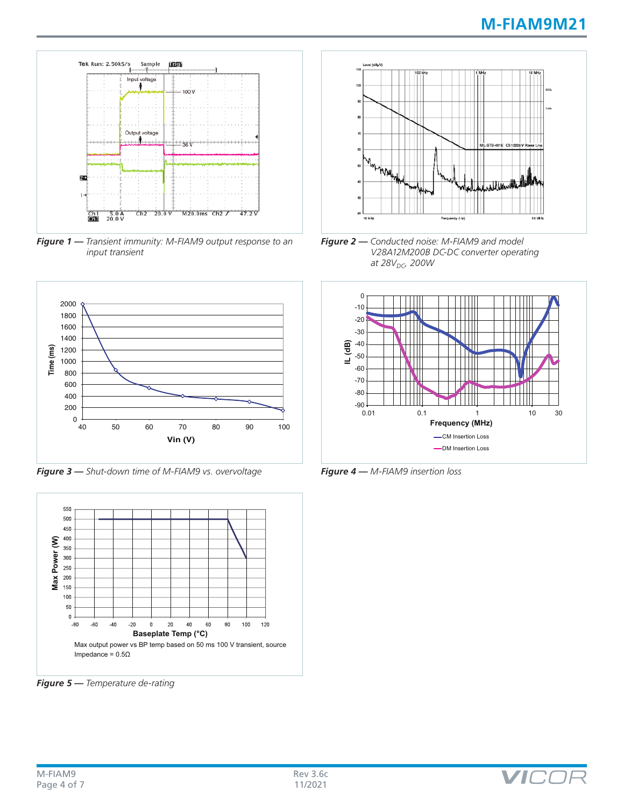

*Figure 1 — Transient immunity: M-FIAM9 output response to an input transient*



*Figure 3 — Shut-down time of M-FIAM9 vs. overvoltage*



*Figure 5 — Temperature de-rating*



*Figure 2 — Conducted noise: M-FIAM9 and model V28A12M200B DC-DC converter operating at 28V<sub>DC</sub>*, 200W



VIC

*Figure 4 — M-FIAM9 insertion loss*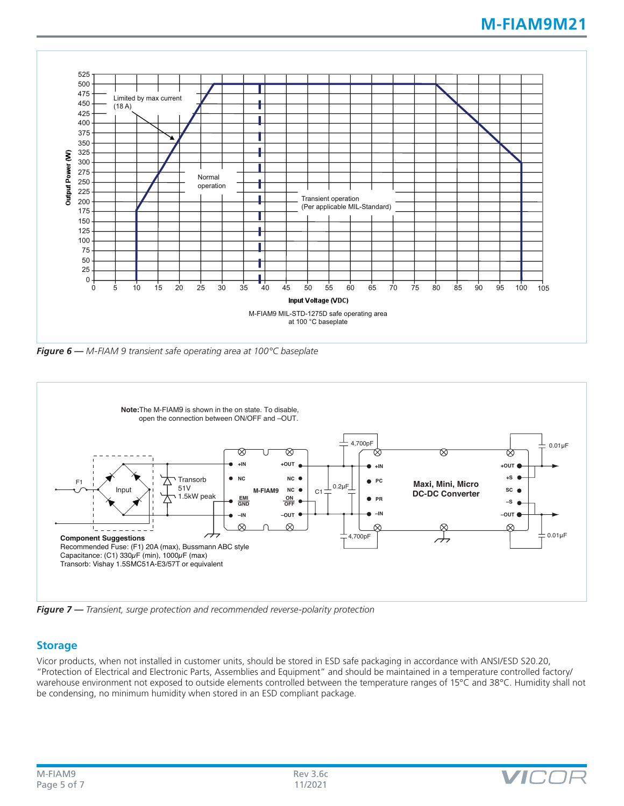

*Figure 6 — M-FIAM 9 transient safe operating area at 100°C baseplate*



*Figure 7 — Transient, surge protection and recommended reverse-polarity protection*

### **Storage**

Vicor products, when not installed in customer units, should be stored in ESD safe packaging in accordance with ANSI/ESD S20.20, "Protection of Electrical and Electronic Parts, Assemblies and Equipment" and should be maintained in a temperature controlled factory/ warehouse environment not exposed to outside elements controlled between the temperature ranges of 15°C and 38°C. Humidity shall not be condensing, no minimum humidity when stored in an ESD compliant package.

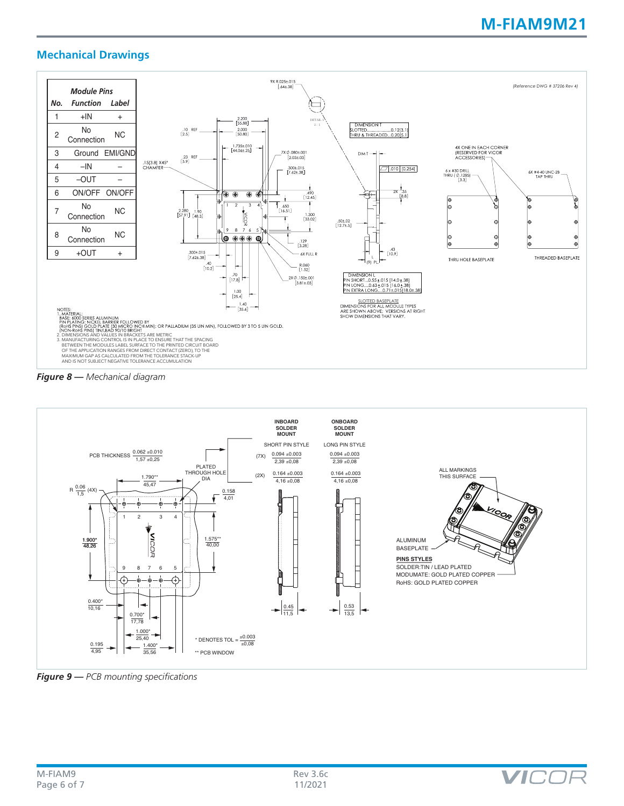## **M-FIAM9M21**

### **Mechanical Drawings**







*Figure 9 — PCB mounting specifications*